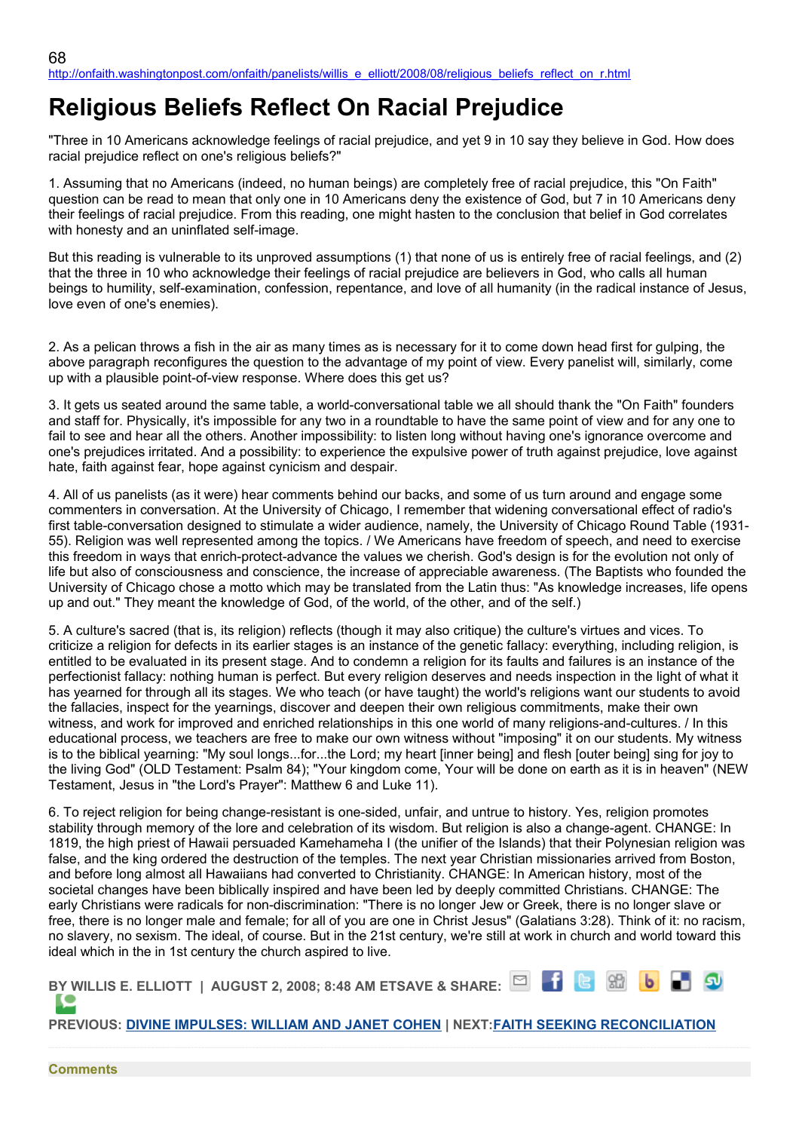## **Religious Beliefs Reflect On Racial Prejudice**

"Three in 10 Americans acknowledge feelings of racial prejudice, and yet 9 in 10 say they believe in God. How does racial prejudice reflect on one's religious beliefs?"

1. Assuming that no Americans (indeed, no human beings) are completely free of racial prejudice, this "On Faith" question can be read to mean that only one in 10 Americans deny the existence of God, but 7 in 10 Americans deny their feelings of racial prejudice. From this reading, one might hasten to the conclusion that belief in God correlates with honesty and an uninflated self-image.

But this reading is vulnerable to its unproved assumptions (1) that none of us is entirely free of racial feelings, and (2) that the three in 10 who acknowledge their feelings of racial prejudice are believers in God, who calls all human beings to humility, self-examination, confession, repentance, and love of all humanity (in the radical instance of Jesus, love even of one's enemies).

2. As a pelican throws a fish in the air as many times as is necessary for it to come down head first for gulping, the above paragraph reconfigures the question to the advantage of my point of view. Every panelist will, similarly, come up with a plausible point-of-view response. Where does this get us?

3. It gets us seated around the same table, a world-conversational table we all should thank the "On Faith" founders and staff for. Physically, it's impossible for any two in a roundtable to have the same point of view and for any one to fail to see and hear all the others. Another impossibility: to listen long without having one's ignorance overcome and one's prejudices irritated. And a possibility: to experience the expulsive power of truth against prejudice, love against hate, faith against fear, hope against cynicism and despair.

4. All of us panelists (as it were) hear comments behind our backs, and some of us turn around and engage some commenters in conversation. At the University of Chicago, I remember that widening conversational effect of radio's first table-conversation designed to stimulate a wider audience, namely, the University of Chicago Round Table (1931- 55). Religion was well represented among the topics. / We Americans have freedom of speech, and need to exercise this freedom in ways that enrich-protect-advance the values we cherish. God's design is for the evolution not only of life but also of consciousness and conscience, the increase of appreciable awareness. (The Baptists who founded the University of Chicago chose a motto which may be translated from the Latin thus: "As knowledge increases, life opens up and out." They meant the knowledge of God, of the world, of the other, and of the self.)

5. A culture's sacred (that is, its religion) reflects (though it may also critique) the culture's virtues and vices. To criticize a religion for defects in its earlier stages is an instance of the genetic fallacy: everything, including religion, is entitled to be evaluated in its present stage. And to condemn a religion for its faults and failures is an instance of the perfectionist fallacy: nothing human is perfect. But every religion deserves and needs inspection in the light of what it has yearned for through all its stages. We who teach (or have taught) the world's religions want our students to avoid the fallacies, inspect for the yearnings, discover and deepen their own religious commitments, make their own witness, and work for improved and enriched relationships in this one world of many religions-and-cultures. / In this educational process, we teachers are free to make our own witness without "imposing" it on our students. My witness is to the biblical yearning: "My soul longs...for...the Lord; my heart [inner being] and flesh [outer being] sing for joy to the living God" (OLD Testament: Psalm 84); "Your kingdom come, Your will be done on earth as it is in heaven" (NEW Testament, Jesus in "the Lord's Prayer": Matthew 6 and Luke 11).

6. To reject religion for being change-resistant is one-sided, unfair, and untrue to history. Yes, religion promotes stability through memory of the lore and celebration of its wisdom. But religion is also a change-agent. CHANGE: In 1819, the high priest of Hawaii persuaded Kamehameha I (the unifier of the Islands) that their Polynesian religion was false, and the king ordered the destruction of the temples. The next year Christian missionaries arrived from Boston, and before long almost all Hawaiians had converted to Christianity. CHANGE: In American history, most of the societal changes have been biblically inspired and have been led by deeply committed Christians. CHANGE: The early Christians were radicals for non-discrimination: "There is no longer Jew or Greek, there is no longer slave or free, there is no longer male and female; for all of you are one in Christ Jesus" (Galatians 3:28). Think of it: no racism, no slavery, no sexism. The ideal, of course. But in the 21st century, we're still at work in church and world toward this ideal which in the in 1st century the church aspired to live.

| BY WILLIS E. ELLIOTT   AUGUST 2, 2008; 8:48 AM ETSAVE & SHARE: $\Box$ $\Box$ $\Box$ $\Box$ $\Box$ $\Box$ $\Box$ |  |  |  |
|-----------------------------------------------------------------------------------------------------------------|--|--|--|
|                                                                                                                 |  |  |  |
| PREVIOUS: DIVINE IMPULSES: WILLIAM AND JANET COHEN   NEXT: FAITH SEEKING RECONCILIATION                         |  |  |  |

**Comments**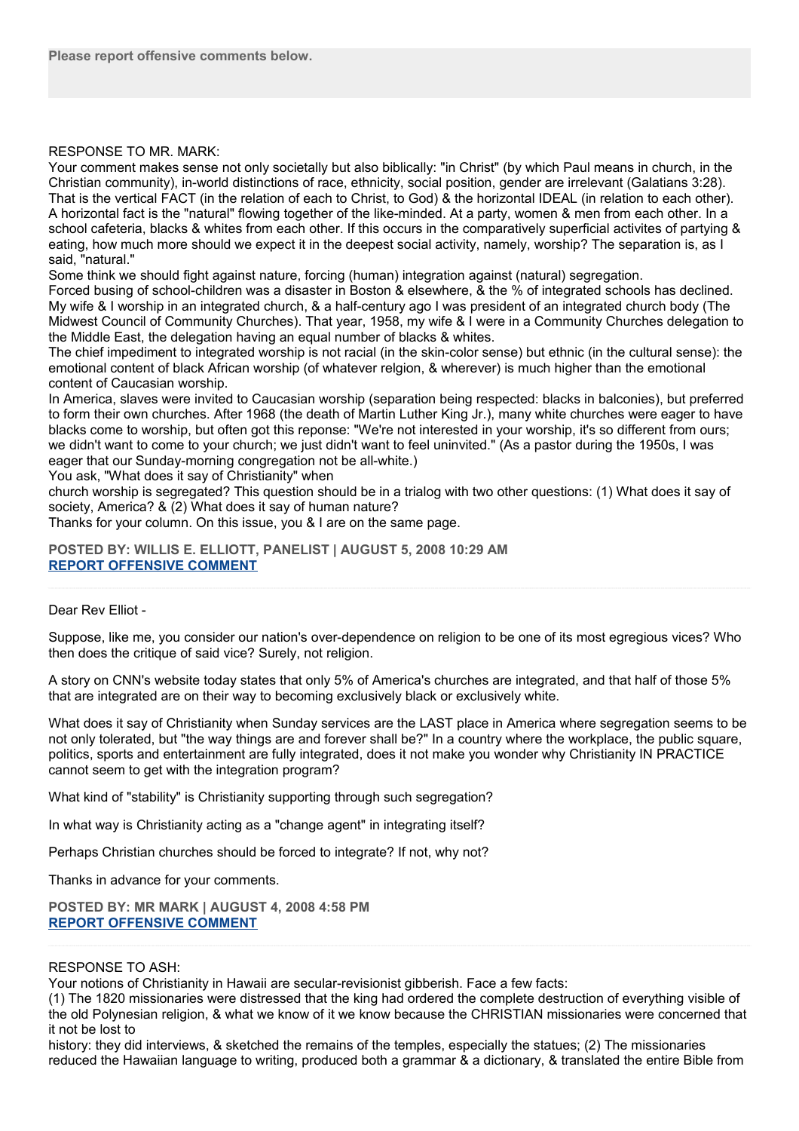## RESPONSE TO MR. MARK:

Your comment makes sense not only societally but also biblically: "in Christ" (by which Paul means in church, in the Christian community), in-world distinctions of race, ethnicity, social position, gender are irrelevant (Galatians 3:28). That is the vertical FACT (in the relation of each to Christ, to God) & the horizontal IDEAL (in relation to each other). A horizontal fact is the "natural" flowing together of the like-minded. At a party, women & men from each other. In a school cafeteria, blacks & whites from each other. If this occurs in the comparatively superficial activites of partying & eating, how much more should we expect it in the deepest social activity, namely, worship? The separation is, as I said, "natural."

Some think we should fight against nature, forcing (human) integration against (natural) segregation.

Forced busing of school-children was a disaster in Boston & elsewhere, & the % of integrated schools has declined. My wife & I worship in an integrated church, & a half-century ago I was president of an integrated church body (The Midwest Council of Community Churches). That year, 1958, my wife & I were in a Community Churches delegation to the Middle East, the delegation having an equal number of blacks & whites.

The chief impediment to integrated worship is not racial (in the skin-color sense) but ethnic (in the cultural sense): the emotional content of black African worship (of whatever relgion, & wherever) is much higher than the emotional content of Caucasian worship.

In America, slaves were invited to Caucasian worship (separation being respected: blacks in balconies), but preferred to form their own churches. After 1968 (the death of Martin Luther King Jr.), many white churches were eager to have blacks come to worship, but often got this reponse: "We're not interested in your worship, it's so different from ours; we didn't want to come to your church; we just didn't want to feel uninvited." (As a pastor during the 1950s, I was eager that our Sunday-morning congregation not be all-white.)

You ask, "What does it say of Christianity" when

church worship is segregated? This question should be in a trialog with two other questions: (1) What does it say of society, America? & (2) What does it say of human nature?

Thanks for your column. On this issue, you & I are on the same page.

**POSTED BY: WILLIS E. ELLIOTT, PANELIST | AUGUST 5, 2008 10:29 AM [REPORT OFFENSIVE COMMENT](mailto:blogs@washingtonpost.com?subject=On%20Faith%20Panelists%20Blog%20%20%7C%20%20Willis%20E.%20Elliott,%20panelist%20%20%7C%20%20Religious%20Beliefs%20Reflect%20On%20Racial%20Prejudice%20%20%7C%20%204413938&body=%0D%0D%0D%0D%0D================%0D?__mode=view%26_type=comment%26id=4413938%26blog_id=618)**

## Dear Rev Elliot -

Suppose, like me, you consider our nation's over-dependence on religion to be one of its most egregious vices? Who then does the critique of said vice? Surely, not religion.

A story on CNN's website today states that only 5% of America's churches are integrated, and that half of those 5% that are integrated are on their way to becoming exclusively black or exclusively white.

What does it say of Christianity when Sunday services are the LAST place in America where segregation seems to be not only tolerated, but "the way things are and forever shall be?" In a country where the workplace, the public square, politics, sports and entertainment are fully integrated, does it not make you wonder why Christianity IN PRACTICE cannot seem to get with the integration program?

What kind of "stability" is Christianity supporting through such segregation?

In what way is Christianity acting as a "change agent" in integrating itself?

Perhaps Christian churches should be forced to integrate? If not, why not?

Thanks in advance for your comments.

**POSTED BY: MR MARK | AUGUST 4, 2008 4:58 PM [REPORT OFFENSIVE COMMENT](mailto:blogs@washingtonpost.com?subject=On%20Faith%20Panelists%20Blog%20%20%7C%20%20Mr%20Mark%20%20%7C%20%20Religious%20Beliefs%20Reflect%20On%20Racial%20Prejudice%20%20%7C%20%204411498&body=%0D%0D%0D%0D%0D================%0D?__mode=view%26_type=comment%26id=4411498%26blog_id=618)**

## RESPONSE TO ASH:

Your notions of Christianity in Hawaii are secular-revisionist gibberish. Face a few facts:

(1) The 1820 missionaries were distressed that the king had ordered the complete destruction of everything visible of the old Polynesian religion, & what we know of it we know because the CHRISTIAN missionaries were concerned that it not be lost to

history: they did interviews, & sketched the remains of the temples, especially the statues; (2) The missionaries reduced the Hawaiian language to writing, produced both a grammar & a dictionary, & translated the entire Bible from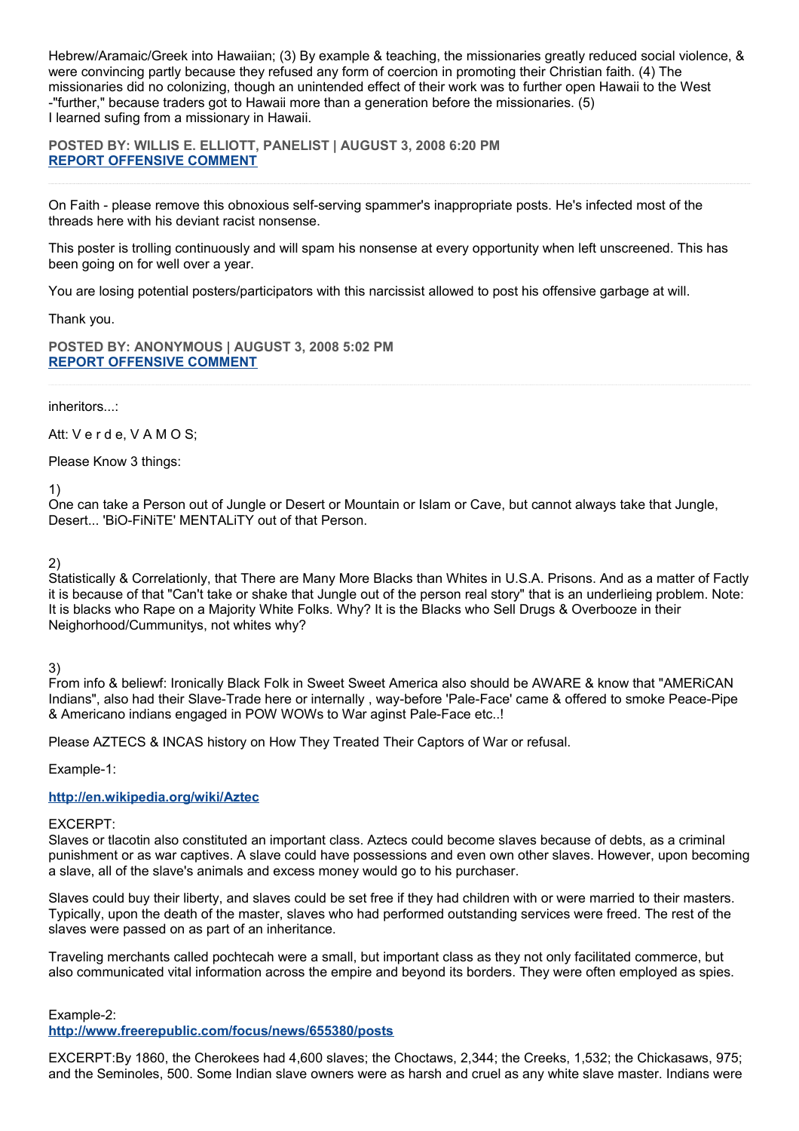Hebrew/Aramaic/Greek into Hawaiian; (3) By example & teaching, the missionaries greatly reduced social violence, & were convincing partly because they refused any form of coercion in promoting their Christian faith. (4) The missionaries did no colonizing, though an unintended effect of their work was to further open Hawaii to the West -"further," because traders got to Hawaii more than a generation before the missionaries. (5) I learned sufing from a missionary in Hawaii.

**POSTED BY: WILLIS E. ELLIOTT, PANELIST | AUGUST 3, 2008 6:20 PM [REPORT OFFENSIVE COMMENT](mailto:blogs@washingtonpost.com?subject=On%20Faith%20Panelists%20Blog%20%20%7C%20%20Willis%20E.%20Elliott,%20panelist%20%20%7C%20%20Religious%20Beliefs%20Reflect%20On%20Racial%20Prejudice%20%20%7C%20%204408972&body=%0D%0D%0D%0D%0D================%0D?__mode=view%26_type=comment%26id=4408972%26blog_id=618)**

On Faith - please remove this obnoxious self-serving spammer's inappropriate posts. He's infected most of the threads here with his deviant racist nonsense.

This poster is trolling continuously and will spam his nonsense at every opportunity when left unscreened. This has been going on for well over a year.

You are losing potential posters/participators with this narcissist allowed to post his offensive garbage at will.

Thank you.

**POSTED BY: ANONYMOUS | AUGUST 3, 2008 5:02 PM [REPORT OFFENSIVE COMMENT](mailto:blogs@washingtonpost.com?subject=On%20Faith%20Panelists%20Blog%20%20%7C%20%20Anonymous%20%20%7C%20%20Religious%20Beliefs%20Reflect%20On%20Racial%20Prejudice%20%20%7C%20%204408832&body=%0D%0D%0D%0D%0D================%0D?__mode=view%26_type=comment%26id=4408832%26blog_id=618)**

inheritors...:

Att: V e r d e, V A M O S;

Please Know 3 things:

1)

One can take a Person out of Jungle or Desert or Mountain or Islam or Cave, but cannot always take that Jungle, Desert... 'BiO-FiNiTE' MENTALiTY out of that Person.

2)

Statistically & Correlationly, that There are Many More Blacks than Whites in U.S.A. Prisons. And as a matter of Factly it is because of that "Can't take or shake that Jungle out of the person real story" that is an underlieing problem. Note: It is blacks who Rape on a Majority White Folks. Why? It is the Blacks who Sell Drugs & Overbooze in their Neighorhood/Cummunitys, not whites why?

3)

From info & beliewf: Ironically Black Folk in Sweet Sweet America also should be AWARE & know that "AMERiCAN Indians", also had their Slave-Trade here or internally , way-before 'Pale-Face' came & offered to smoke Peace-Pipe & Americano indians engaged in POW WOWs to War aginst Pale-Face etc..!

Please AZTECS & INCAS history on How They Treated Their Captors of War or refusal.

Example-1:

**<http://en.wikipedia.org/wiki/Aztec>**

EXCERPT:

Slaves or tlacotin also constituted an important class. Aztecs could become slaves because of debts, as a criminal punishment or as war captives. A slave could have possessions and even own other slaves. However, upon becoming a slave, all of the slave's animals and excess money would go to his purchaser.

Slaves could buy their liberty, and slaves could be set free if they had children with or were married to their masters. Typically, upon the death of the master, slaves who had performed outstanding services were freed. The rest of the slaves were passed on as part of an inheritance.

Traveling merchants called pochtecah were a small, but important class as they not only facilitated commerce, but also communicated vital information across the empire and beyond its borders. They were often employed as spies.

Example-2:

**<http://www.freerepublic.com/focus/news/655380/posts>**

EXCERPT:By 1860, the Cherokees had 4,600 slaves; the Choctaws, 2,344; the Creeks, 1,532; the Chickasaws, 975; and the Seminoles, 500. Some Indian slave owners were as harsh and cruel as any white slave master. Indians were